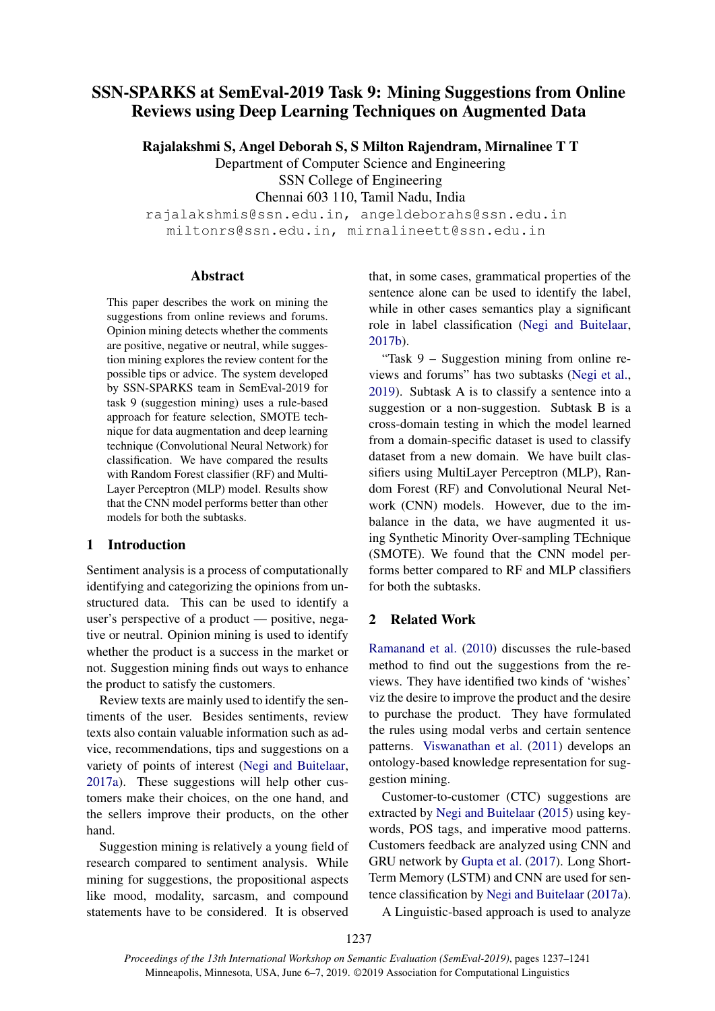# SSN-SPARKS at SemEval-2019 Task 9: Mining Suggestions from Online Reviews using Deep Learning Techniques on Augmented Data

Rajalakshmi S, Angel Deborah S, S Milton Rajendram, Mirnalinee T T

Department of Computer Science and Engineering

SSN College of Engineering

Chennai 603 110, Tamil Nadu, India

rajalakshmis@ssn.edu.in, angeldeborahs@ssn.edu.in miltonrs@ssn.edu.in, mirnalineett@ssn.edu.in

### Abstract

This paper describes the work on mining the suggestions from online reviews and forums. Opinion mining detects whether the comments are positive, negative or neutral, while suggestion mining explores the review content for the possible tips or advice. The system developed by SSN-SPARKS team in SemEval-2019 for task 9 (suggestion mining) uses a rule-based approach for feature selection, SMOTE technique for data augmentation and deep learning technique (Convolutional Neural Network) for classification. We have compared the results with Random Forest classifier (RF) and Multi-Layer Perceptron (MLP) model. Results show that the CNN model performs better than other models for both the subtasks.

### 1 Introduction

Sentiment analysis is a process of computationally identifying and categorizing the opinions from unstructured data. This can be used to identify a user's perspective of a product — positive, negative or neutral. Opinion mining is used to identify whether the product is a success in the market or not. Suggestion mining finds out ways to enhance the product to satisfy the customers.

Review texts are mainly used to identify the sentiments of the user. Besides sentiments, review texts also contain valuable information such as advice, recommendations, tips and suggestions on a variety of points of interest [\(Negi and Buitelaar,](#page-4-0) [2017a\)](#page-4-0). These suggestions will help other customers make their choices, on the one hand, and the sellers improve their products, on the other hand.

Suggestion mining is relatively a young field of research compared to sentiment analysis. While mining for suggestions, the propositional aspects like mood, modality, sarcasm, and compound statements have to be considered. It is observed that, in some cases, grammatical properties of the sentence alone can be used to identify the label, while in other cases semantics play a significant role in label classification [\(Negi and Buitelaar,](#page-4-1) [2017b\)](#page-4-1).

"Task 9 – Suggestion mining from online reviews and forums" has two subtasks [\(Negi et al.,](#page-4-2) [2019\)](#page-4-2). Subtask A is to classify a sentence into a suggestion or a non-suggestion. Subtask B is a cross-domain testing in which the model learned from a domain-specific dataset is used to classify dataset from a new domain. We have built classifiers using MultiLayer Perceptron (MLP), Random Forest (RF) and Convolutional Neural Network (CNN) models. However, due to the imbalance in the data, we have augmented it using Synthetic Minority Over-sampling TEchnique (SMOTE). We found that the CNN model performs better compared to RF and MLP classifiers for both the subtasks.

# 2 Related Work

[Ramanand et al.](#page-4-3) [\(2010\)](#page-4-3) discusses the rule-based method to find out the suggestions from the reviews. They have identified two kinds of 'wishes' viz the desire to improve the product and the desire to purchase the product. They have formulated the rules using modal verbs and certain sentence patterns. [Viswanathan et al.](#page-4-4) [\(2011\)](#page-4-4) develops an ontology-based knowledge representation for suggestion mining.

Customer-to-customer (CTC) suggestions are extracted by [Negi and Buitelaar](#page-4-5) [\(2015\)](#page-4-5) using keywords, POS tags, and imperative mood patterns. Customers feedback are analyzed using CNN and GRU network by [Gupta et al.](#page-3-0) [\(2017\)](#page-3-0). Long Short-Term Memory (LSTM) and CNN are used for sentence classification by [Negi and Buitelaar](#page-4-0) [\(2017a\)](#page-4-0).

A Linguistic-based approach is used to analyze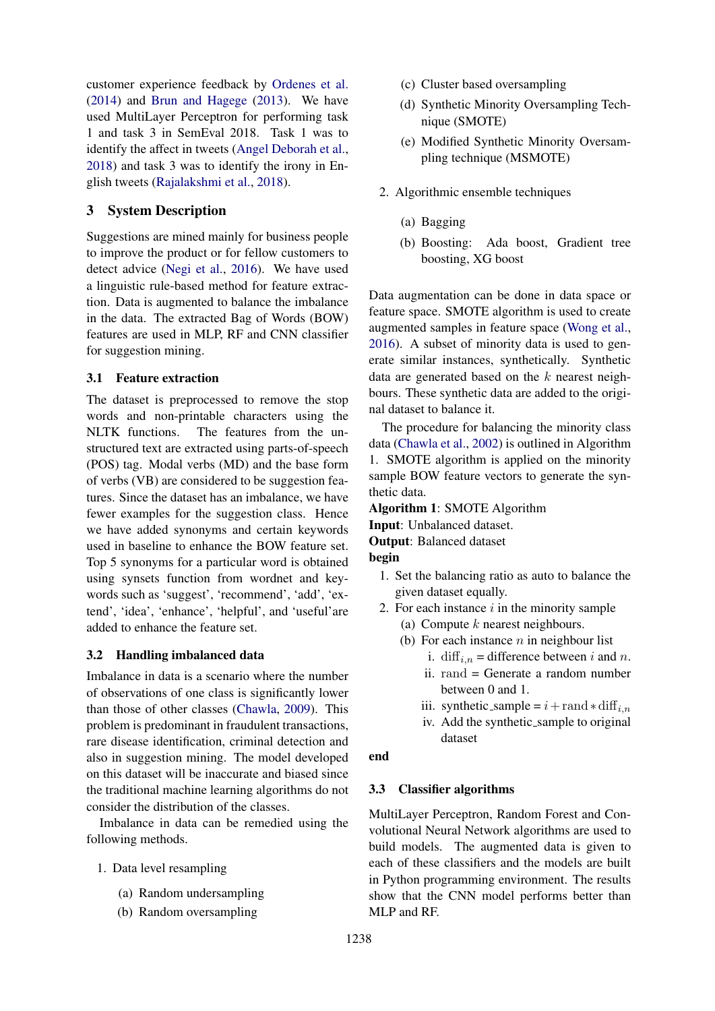customer experience feedback by [Ordenes et al.](#page-4-6) [\(2014\)](#page-4-6) and [Brun and Hagege](#page-3-1) [\(2013\)](#page-3-1). We have used MultiLayer Perceptron for performing task 1 and task 3 in SemEval 2018. Task 1 was to identify the affect in tweets [\(Angel Deborah et al.,](#page-3-2) [2018\)](#page-3-2) and task 3 was to identify the irony in English tweets [\(Rajalakshmi et al.,](#page-4-7) [2018\)](#page-4-7).

# 3 System Description

Suggestions are mined mainly for business people to improve the product or for fellow customers to detect advice [\(Negi et al.,](#page-3-3) [2016\)](#page-3-3). We have used a linguistic rule-based method for feature extraction. Data is augmented to balance the imbalance in the data. The extracted Bag of Words (BOW) features are used in MLP, RF and CNN classifier for suggestion mining.

### 3.1 Feature extraction

The dataset is preprocessed to remove the stop words and non-printable characters using the NLTK functions. The features from the unstructured text are extracted using parts-of-speech (POS) tag. Modal verbs (MD) and the base form of verbs (VB) are considered to be suggestion features. Since the dataset has an imbalance, we have fewer examples for the suggestion class. Hence we have added synonyms and certain keywords used in baseline to enhance the BOW feature set. Top 5 synonyms for a particular word is obtained using synsets function from wordnet and keywords such as 'suggest', 'recommend', 'add', 'extend', 'idea', 'enhance', 'helpful', and 'useful'are added to enhance the feature set.

### 3.2 Handling imbalanced data

Imbalance in data is a scenario where the number of observations of one class is significantly lower than those of other classes [\(Chawla,](#page-3-4) [2009\)](#page-3-4). This problem is predominant in fraudulent transactions, rare disease identification, criminal detection and also in suggestion mining. The model developed on this dataset will be inaccurate and biased since the traditional machine learning algorithms do not consider the distribution of the classes.

Imbalance in data can be remedied using the following methods.

- 1. Data level resampling
	- (a) Random undersampling
	- (b) Random oversampling
- (c) Cluster based oversampling
- (d) Synthetic Minority Oversampling Technique (SMOTE)
- (e) Modified Synthetic Minority Oversampling technique (MSMOTE)
- 2. Algorithmic ensemble techniques
	- (a) Bagging
	- (b) Boosting: Ada boost, Gradient tree boosting, XG boost

Data augmentation can be done in data space or feature space. SMOTE algorithm is used to create augmented samples in feature space [\(Wong et al.,](#page-4-8) [2016\)](#page-4-8). A subset of minority data is used to generate similar instances, synthetically. Synthetic data are generated based on the  $k$  nearest neighbours. These synthetic data are added to the original dataset to balance it.

The procedure for balancing the minority class data [\(Chawla et al.,](#page-3-5) [2002\)](#page-3-5) is outlined in Algorithm 1. SMOTE algorithm is applied on the minority sample BOW feature vectors to generate the synthetic data.

Algorithm 1: SMOTE Algorithm

Input: Unbalanced dataset.

Output: Balanced dataset

# begin

- 1. Set the balancing ratio as auto to balance the given dataset equally.
- 2. For each instance  $i$  in the minority sample (a) Compute  $k$  nearest neighbours.
	- (b) For each instance  $n$  in neighbour list
		- i. diff<sub>i,n</sub> = difference between i and n.
		- ii. rand = Generate a random number between 0 and 1.
		- iii. synthetic\_sample =  $i+$  rand  $\ast$  diff<sub>i.n</sub>
		- iv. Add the synthetic sample to original dataset

#### end

### 3.3 Classifier algorithms

MultiLayer Perceptron, Random Forest and Convolutional Neural Network algorithms are used to build models. The augmented data is given to each of these classifiers and the models are built in Python programming environment. The results show that the CNN model performs better than MLP and RF.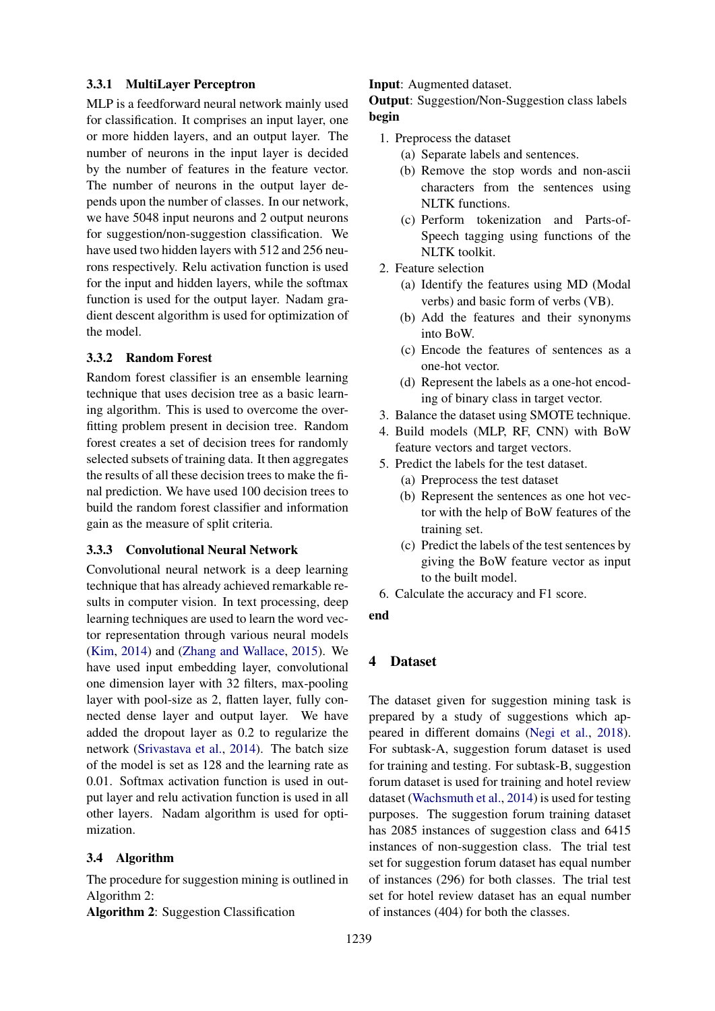### 3.3.1 MultiLayer Perceptron

MLP is a feedforward neural network mainly used for classification. It comprises an input layer, one or more hidden layers, and an output layer. The number of neurons in the input layer is decided by the number of features in the feature vector. The number of neurons in the output layer depends upon the number of classes. In our network, we have 5048 input neurons and 2 output neurons for suggestion/non-suggestion classification. We have used two hidden layers with 512 and 256 neurons respectively. Relu activation function is used for the input and hidden layers, while the softmax function is used for the output layer. Nadam gradient descent algorithm is used for optimization of the model.

### 3.3.2 Random Forest

Random forest classifier is an ensemble learning technique that uses decision tree as a basic learning algorithm. This is used to overcome the overfitting problem present in decision tree. Random forest creates a set of decision trees for randomly selected subsets of training data. It then aggregates the results of all these decision trees to make the final prediction. We have used 100 decision trees to build the random forest classifier and information gain as the measure of split criteria.

### 3.3.3 Convolutional Neural Network

Convolutional neural network is a deep learning technique that has already achieved remarkable results in computer vision. In text processing, deep learning techniques are used to learn the word vector representation through various neural models [\(Kim,](#page-3-6) [2014\)](#page-3-6) and [\(Zhang and Wallace,](#page-4-9) [2015\)](#page-4-9). We have used input embedding layer, convolutional one dimension layer with 32 filters, max-pooling layer with pool-size as 2, flatten layer, fully connected dense layer and output layer. We have added the dropout layer as 0.2 to regularize the network [\(Srivastava et al.,](#page-4-10) [2014\)](#page-4-10). The batch size of the model is set as 128 and the learning rate as 0.01. Softmax activation function is used in output layer and relu activation function is used in all other layers. Nadam algorithm is used for optimization.

### 3.4 Algorithm

The procedure for suggestion mining is outlined in Algorithm 2:

Algorithm 2: Suggestion Classification

#### Input: Augmented dataset.

Output: Suggestion/Non-Suggestion class labels begin

- 1. Preprocess the dataset
	- (a) Separate labels and sentences.
	- (b) Remove the stop words and non-ascii characters from the sentences using NLTK functions.
	- (c) Perform tokenization and Parts-of-Speech tagging using functions of the NLTK toolkit.
- 2. Feature selection
	- (a) Identify the features using MD (Modal verbs) and basic form of verbs (VB).
	- (b) Add the features and their synonyms into BoW.
	- (c) Encode the features of sentences as a one-hot vector.
	- (d) Represent the labels as a one-hot encoding of binary class in target vector.
- 3. Balance the dataset using SMOTE technique.
- 4. Build models (MLP, RF, CNN) with BoW feature vectors and target vectors.
- 5. Predict the labels for the test dataset.
	- (a) Preprocess the test dataset
	- (b) Represent the sentences as one hot vector with the help of BoW features of the training set.
	- (c) Predict the labels of the test sentences by giving the BoW feature vector as input to the built model.
- 6. Calculate the accuracy and F1 score.

#### end

# 4 Dataset

The dataset given for suggestion mining task is prepared by a study of suggestions which appeared in different domains [\(Negi et al.,](#page-4-11) [2018\)](#page-4-11). For subtask-A, suggestion forum dataset is used for training and testing. For subtask-B, suggestion forum dataset is used for training and hotel review dataset [\(Wachsmuth et al.,](#page-4-12) [2014\)](#page-4-12) is used for testing purposes. The suggestion forum training dataset has 2085 instances of suggestion class and 6415 instances of non-suggestion class. The trial test set for suggestion forum dataset has equal number of instances (296) for both classes. The trial test set for hotel review dataset has an equal number of instances (404) for both the classes.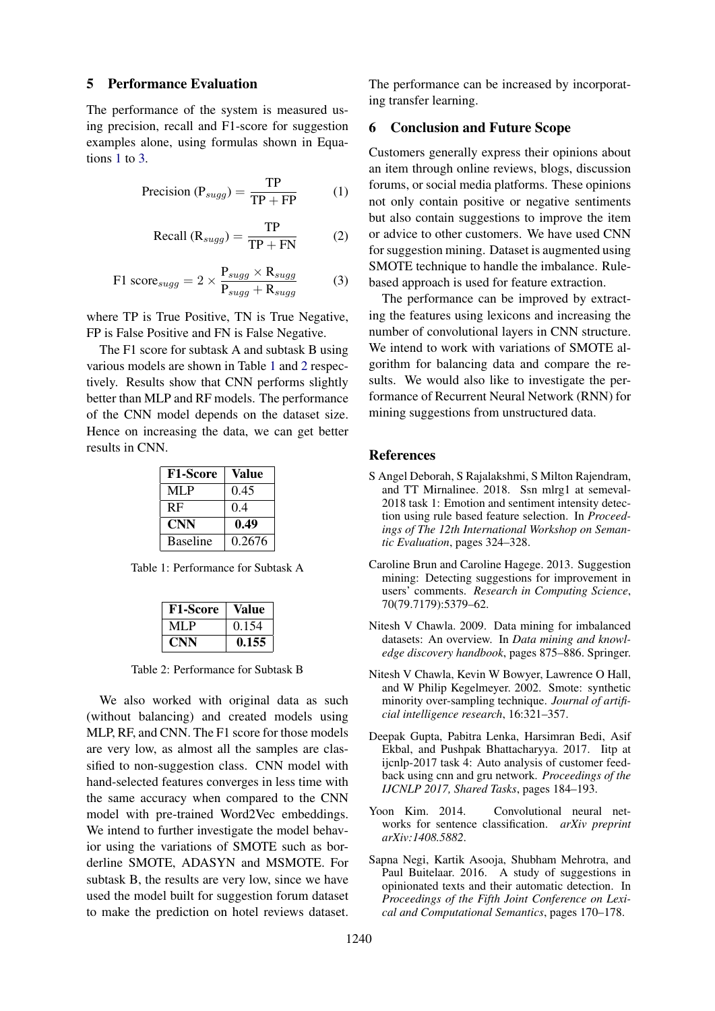#### 5 Performance Evaluation

The performance of the system is measured using precision, recall and F1-score for suggestion examples alone, using formulas shown in Equations [1](#page-3-7) to [3.](#page-3-7)

<span id="page-3-7"></span>
$$
Precision(P_{sugg}) = \frac{TP}{TP + FP}
$$
 (1)

$$
Recall (R_{sugg}) = \frac{TP}{TP + FN}
$$
 (2)

$$
\text{F1 score}_{sugg} = 2 \times \frac{\text{P}_{sugg} \times \text{R}_{sugg}}{\text{P}_{sugg} + \text{R}_{sugg}} \tag{3}
$$

where TP is True Positive, TN is True Negative, FP is False Positive and FN is False Negative.

The F1 score for subtask A and subtask B using various models are shown in Table [1](#page-3-8) and [2](#page-3-9) respectively. Results show that CNN performs slightly better than MLP and RF models. The performance of the CNN model depends on the dataset size. Hence on increasing the data, we can get better results in CNN.

| <b>F1-Score</b> | Value  |
|-----------------|--------|
| MLP             | 0.45   |
| <b>RF</b>       | 0.4    |
| <b>CNN</b>      | 0.49   |
| <b>Baseline</b> | 0.2676 |

<span id="page-3-8"></span>Table 1: Performance for Subtask A

| <b>F1-Score</b> | Value |
|-----------------|-------|
| MLP             | 0.154 |
| UNN.            | 0.155 |

<span id="page-3-9"></span>Table 2: Performance for Subtask B

We also worked with original data as such (without balancing) and created models using MLP, RF, and CNN. The F1 score for those models are very low, as almost all the samples are classified to non-suggestion class. CNN model with hand-selected features converges in less time with the same accuracy when compared to the CNN model with pre-trained Word2Vec embeddings. We intend to further investigate the model behavior using the variations of SMOTE such as borderline SMOTE, ADASYN and MSMOTE. For subtask B, the results are very low, since we have used the model built for suggestion forum dataset to make the prediction on hotel reviews dataset.

The performance can be increased by incorporating transfer learning.

### 6 Conclusion and Future Scope

Customers generally express their opinions about an item through online reviews, blogs, discussion forums, or social media platforms. These opinions not only contain positive or negative sentiments but also contain suggestions to improve the item or advice to other customers. We have used CNN for suggestion mining. Dataset is augmented using SMOTE technique to handle the imbalance. Rulebased approach is used for feature extraction.

The performance can be improved by extracting the features using lexicons and increasing the number of convolutional layers in CNN structure. We intend to work with variations of SMOTE algorithm for balancing data and compare the results. We would also like to investigate the performance of Recurrent Neural Network (RNN) for mining suggestions from unstructured data.

#### References

- <span id="page-3-2"></span>S Angel Deborah, S Rajalakshmi, S Milton Rajendram, and TT Mirnalinee. 2018. Ssn mlrg1 at semeval-2018 task 1: Emotion and sentiment intensity detection using rule based feature selection. In *Proceedings of The 12th International Workshop on Semantic Evaluation*, pages 324–328.
- <span id="page-3-1"></span>Caroline Brun and Caroline Hagege. 2013. Suggestion mining: Detecting suggestions for improvement in users' comments. *Research in Computing Science*, 70(79.7179):5379–62.
- <span id="page-3-4"></span>Nitesh V Chawla. 2009. Data mining for imbalanced datasets: An overview. In *Data mining and knowledge discovery handbook*, pages 875–886. Springer.
- <span id="page-3-5"></span>Nitesh V Chawla, Kevin W Bowyer, Lawrence O Hall, and W Philip Kegelmeyer. 2002. Smote: synthetic minority over-sampling technique. *Journal of artificial intelligence research*, 16:321–357.
- <span id="page-3-0"></span>Deepak Gupta, Pabitra Lenka, Harsimran Bedi, Asif Ekbal, and Pushpak Bhattacharyya. 2017. Iitp at ijcnlp-2017 task 4: Auto analysis of customer feedback using cnn and gru network. *Proceedings of the IJCNLP 2017, Shared Tasks*, pages 184–193.
- <span id="page-3-6"></span>Yoon Kim. 2014. Convolutional neural networks for sentence classification. *arXiv preprint arXiv:1408.5882*.
- <span id="page-3-3"></span>Sapna Negi, Kartik Asooja, Shubham Mehrotra, and Paul Buitelaar. 2016. A study of suggestions in opinionated texts and their automatic detection. In *Proceedings of the Fifth Joint Conference on Lexical and Computational Semantics*, pages 170–178.